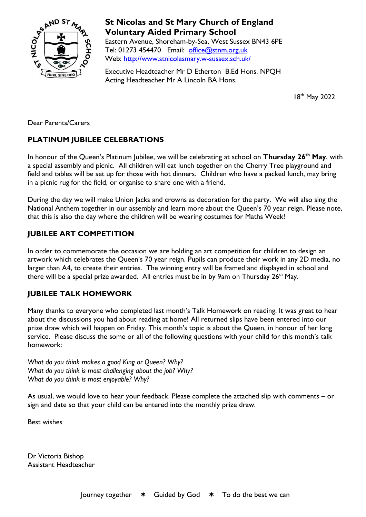

# **St Nicolas and St Mary Church of England Voluntary Aided Primary School**

Eastern Avenue, Shoreham-by-Sea, West Sussex BN43 6PE Tel: 01273 454470 Email: [office@stnm.org.uk](mailto:office@stnm.org.uk) Web:<http://www.stnicolasmary.w-sussex.sch.uk/>

Executive Headteacher Mr D Etherton B.Ed Hons. NPQH Acting Headteacher Mr A Lincoln BA Hons.

18<sup>th</sup> May 2022

Dear Parents/Carers

### **PLATINUM JUBILEE CELEBRATIONS**

In honour of the Queen's Platinum Jubilee, we will be celebrating at school on **Thursday 26th May**, with a special assembly and picnic. All children will eat lunch together on the Cherry Tree playground and field and tables will be set up for those with hot dinners. Children who have a packed lunch, may bring in a picnic rug for the field, or organise to share one with a friend.

During the day we will make Union Jacks and crowns as decoration for the party. We will also sing the National Anthem together in our assembly and learn more about the Queen's 70 year reign. Please note, that this is also the day where the children will be wearing costumes for Maths Week!

## **JUBILEE ART COMPETITION**

In order to commemorate the occasion we are holding an art competition for children to design an artwork which celebrates the Queen's 70 year reign. Pupils can produce their work in any 2D media, no larger than A4, to create their entries. The winning entry will be framed and displayed in school and there will be a special prize awarded. All entries must be in by 9am on Thursday  $26<sup>th</sup>$  May.

## **JUBILEE TALK HOMEWORK**

Many thanks to everyone who completed last month's Talk Homework on reading. It was great to hear about the discussions you had about reading at home! All returned slips have been entered into our prize draw which will happen on Friday. This month's topic is about the Queen, in honour of her long service. Please discuss the some or all of the following questions with your child for this month's talk homework:

*What do you think makes a good King or Queen? Why? What do you think is most challenging about the job? Why? What do you think is most enjoyable? Why?*

As usual, we would love to hear your feedback. Please complete the attached slip with comments – or sign and date so that your child can be entered into the monthly prize draw.

Best wishes

Dr Victoria Bishop Assistant Headteacher